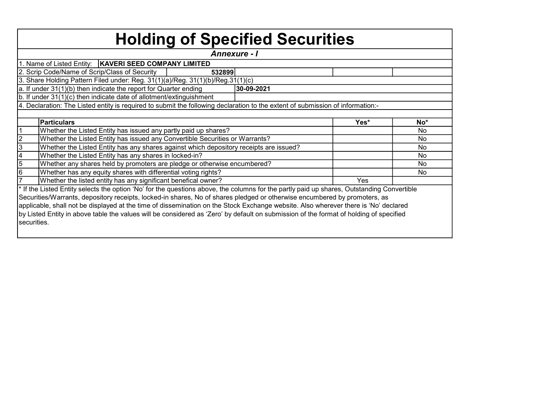|                | <b>Holding of Specified Securities</b>                                                                                                     |            |      |       |
|----------------|--------------------------------------------------------------------------------------------------------------------------------------------|------------|------|-------|
|                | <b>Annexure - I</b>                                                                                                                        |            |      |       |
|                | 1. Name of Listed Entity:   KAVERI SEED COMPANY LIMITED                                                                                    |            |      |       |
|                | 2. Scrip Code/Name of Scrip/Class of Security<br>532899                                                                                    |            |      |       |
|                | 3. Share Holding Pattern Filed under: Reg. 31(1)(a)/Reg. 31(1)(b)/Reg.31(1)(c)                                                             |            |      |       |
|                | a. If under 31(1)(b) then indicate the report for Quarter ending                                                                           | 30-09-2021 |      |       |
|                | b. If under 31(1)(c) then indicate date of allotment/extinguishment                                                                        |            |      |       |
|                | 4. Declaration: The Listed entity is required to submit the following declaration to the extent of submission of information:-             |            |      |       |
|                |                                                                                                                                            |            |      |       |
|                | <b>Particulars</b>                                                                                                                         |            | Yes* | $No*$ |
|                | Whether the Listed Entity has issued any partly paid up shares?                                                                            |            |      | No    |
| $\frac{2}{3}$  | Whether the Listed Entity has issued any Convertible Securities or Warrants?                                                               |            |      | No    |
|                | Whether the Listed Entity has any shares against which depository receipts are issued?                                                     |            |      | No    |
|                | Whether the Listed Entity has any shares in locked-in?                                                                                     |            |      | No.   |
| $\frac{4}{5}$  | Whether any shares held by promoters are pledge or otherwise encumbered?                                                                   |            |      | No    |
|                | Whether has any equity shares with differential voting rights?                                                                             |            |      | No.   |
| $\overline{7}$ | Whether the listed entity has any significant benefical owner?                                                                             |            | Yes  |       |
|                | * If the Listed Entity selects the option 'No' for the questions above, the columns for the partly paid up shares, Outstanding Convertible |            |      |       |
|                | Securities/Warrants, depository receipts, locked-in shares, No of shares pledged or otherwise encumbered by promoters, as                  |            |      |       |
|                | applicable, shall not be displayed at the time of dissemination on the Stock Exchange website. Also wherever there is 'No' declared        |            |      |       |
|                | by Listed Entity in above table the values will be considered as 'Zero' by default on submission of the format of holding of specified     |            |      |       |
| securities.    |                                                                                                                                            |            |      |       |
|                |                                                                                                                                            |            |      |       |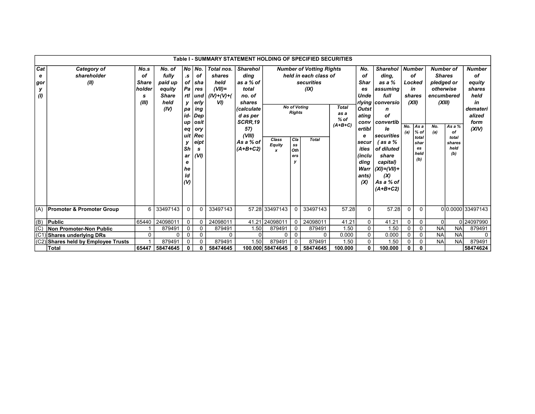|                             |                                       |                                                    |                                                                      |                                                                               |                                                                                                                                  | Table I - SUMMARY STATEMENT HOLDING OF SPECIFIED SECURITIES        |                                                                                                                                                           |                              |                                                                                                                        |                                                                                                |                                             |                                                                                                                                                    |                                                                                                                                                                                                                                      |              |                                                                                                                |                                                                                                    |                                                |                                                                                              |
|-----------------------------|---------------------------------------|----------------------------------------------------|----------------------------------------------------------------------|-------------------------------------------------------------------------------|----------------------------------------------------------------------------------------------------------------------------------|--------------------------------------------------------------------|-----------------------------------------------------------------------------------------------------------------------------------------------------------|------------------------------|------------------------------------------------------------------------------------------------------------------------|------------------------------------------------------------------------------------------------|---------------------------------------------|----------------------------------------------------------------------------------------------------------------------------------------------------|--------------------------------------------------------------------------------------------------------------------------------------------------------------------------------------------------------------------------------------|--------------|----------------------------------------------------------------------------------------------------------------|----------------------------------------------------------------------------------------------------|------------------------------------------------|----------------------------------------------------------------------------------------------|
| Cat<br>е<br>gor<br>У<br>(1) | Category of<br>shareholder<br>(II)    | No.s<br>οf<br><b>Share</b><br>holder<br>s<br>(III) | No. of<br>fully<br>paid up<br>equity<br><b>Share</b><br>held<br>(IV) | $\cdot$ s<br>ν.<br>pa<br>id-l<br>up<br>eq<br>Sh<br>ar<br>е<br>he<br>ld<br>(V) | No No.<br><b>of</b><br>of sha<br>$Pa$ res<br>rtl und<br>erly<br>ing<br>Dep<br><b>osit</b><br>ory<br>uit Rec<br>eipt<br>s<br>(VI) | Total nos.<br>shares<br>held<br>$(VII)$ =<br>$(IV)+(V)+(V)$<br>VI) | <b>Sharehol</b><br>ding<br>as a % of<br>total<br>no. of<br>shares<br><i>(calculate</i><br>d as per<br>SCRR.19<br>57)<br>(VIII)<br>As a % of<br>$(A+B+C2)$ | Class<br><b>Equity</b><br>x  | <b>No of Votina</b><br><b>Rights</b><br>Cla<br>$\textcolor{red}{\textbf{s}}\textcolor{blue}{\textbf{s}}$<br>Oth<br>ers | <b>Number of Votting Rights</b><br>held in each class of<br>securities<br>(IX)<br><b>Total</b> | <b>Total</b><br>as a<br>$%$ of<br>$(A+B+C)$ | No.<br>of<br><b>Shar</b><br>es<br>Unde<br><b>Outst</b><br>ating<br>conv<br>ertibl<br>е<br>secur<br>ities<br>(inclu<br>ding<br>Warr<br>ants)<br>(X) | <b>Sharehol</b><br>ding.<br>as a %<br>assuming<br>full<br>rlying   conversio<br>n<br>οf<br>  convertib<br><i>le</i><br> securities<br>′as a %<br>of diluted<br>share<br>capital)<br>$ (XI)=(VII)+$<br>(X)<br>As a % of<br>$(A+B+C2)$ | No.<br>(a)   | <b>Number</b><br>οf<br>Locked<br>in<br>shares<br>(XII)<br>As a<br>$%$ of<br>total<br>shar<br>es<br>held<br>(b) | <b>Number of</b><br><b>Shares</b><br>pledged or<br>otherwise<br>encumbered<br>(XIII)<br>No.<br>(a) | As a %<br>of<br>total<br>shares<br>held<br>(b) | <b>Number</b><br>οf<br>equity<br>shares<br>held<br>in<br>demateri<br>alized<br>form<br>(XIV) |
| (A)                         | <b>Promoter &amp; Promoter Group</b>  | 6                                                  | 33497143                                                             | 0                                                                             | $\mathbf{0}$                                                                                                                     | 33497143                                                           |                                                                                                                                                           | 57.28 33497143               | 0                                                                                                                      | 33497143                                                                                       | 57.28                                       | $\Omega$                                                                                                                                           | 57.28                                                                                                                                                                                                                                | $\Omega$     | $\mathbf{0}$                                                                                                   |                                                                                                    |                                                | 00.0000 33497143                                                                             |
| $ $ (B)                     | <b>Public</b>                         | 65440                                              | 24098011                                                             | 0                                                                             | 0                                                                                                                                | 24098011                                                           |                                                                                                                                                           | 41.21 24098011               | 0                                                                                                                      | 24098011                                                                                       | 41.21                                       | 0                                                                                                                                                  | 41.21                                                                                                                                                                                                                                | $\mathbf 0$  | 0                                                                                                              | $\Omega$                                                                                           |                                                | 024097990                                                                                    |
| (C)                         | <b>Non Promoter-Non Public</b>        |                                                    | 879491                                                               | 0                                                                             | 0                                                                                                                                | 879491                                                             | 1.50                                                                                                                                                      | 879491<br>879491<br>0        |                                                                                                                        | 1.50                                                                                           | 0                                           | 1.50                                                                                                                                               | 0                                                                                                                                                                                                                                    | 0            | <b>NA</b>                                                                                                      | <b>NA</b>                                                                                          | 879491                                         |                                                                                              |
| (C <sup>2</sup> )           | Shares underlying DRs                 | 0                                                  | 0                                                                    | 0                                                                             | 0                                                                                                                                | $\mathbf{0}$                                                       | $\Omega$                                                                                                                                                  | 0                            | $\mathbf 0$                                                                                                            | 0                                                                                              | 0.000                                       | 0                                                                                                                                                  | 0.000                                                                                                                                                                                                                                | $\mathbf 0$  | $\mathbf 0$                                                                                                    | <b>NA</b>                                                                                          | <b>NA</b>                                      | 0                                                                                            |
| (C2)                        | <b>Shares held by Employee Trusts</b> |                                                    | 879491                                                               | 0                                                                             | $\Omega$                                                                                                                         | 879491                                                             | 1.50                                                                                                                                                      | 879491<br>879491<br>$\Omega$ |                                                                                                                        | 1.50                                                                                           | 0                                           | 1.50                                                                                                                                               | $\mathbf 0$                                                                                                                                                                                                                          | 0            | <b>NA</b>                                                                                                      | <b>NA</b>                                                                                          | 879491                                         |                                                                                              |
|                             | <b>Total</b>                          | 65447                                              | 58474645                                                             | 0                                                                             | 0                                                                                                                                | 58474645                                                           |                                                                                                                                                           | 100.000 58474645             | 0                                                                                                                      | 58474645                                                                                       | 100.000                                     | 0                                                                                                                                                  | 100.000                                                                                                                                                                                                                              | $\mathbf{0}$ | $\mathbf{0}$                                                                                                   |                                                                                                    |                                                | 58474624                                                                                     |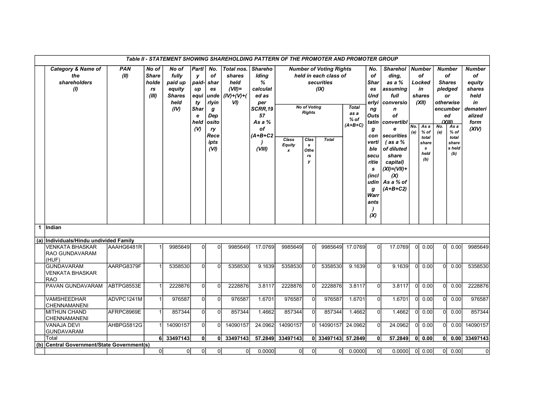|                      |                                                             |                    |                                               |                                                                      |                                                                            |                                                                                             | Table II - STATEMENT SHOWING SHAREHOLDING PATTERN OF THE PROMOTER AND PROMOTER GROUP |                                                                                                                         |                                            |                                                                                 |                                                                                               |                                             |                                                                                                                                                                          |                                                                                                                                                                                                                          |            |                                                                                                              |                |                                                                                                                                                     |                                                                                              |
|----------------------|-------------------------------------------------------------|--------------------|-----------------------------------------------|----------------------------------------------------------------------|----------------------------------------------------------------------------|---------------------------------------------------------------------------------------------|--------------------------------------------------------------------------------------|-------------------------------------------------------------------------------------------------------------------------|--------------------------------------------|---------------------------------------------------------------------------------|-----------------------------------------------------------------------------------------------|---------------------------------------------|--------------------------------------------------------------------------------------------------------------------------------------------------------------------------|--------------------------------------------------------------------------------------------------------------------------------------------------------------------------------------------------------------------------|------------|--------------------------------------------------------------------------------------------------------------|----------------|-----------------------------------------------------------------------------------------------------------------------------------------------------|----------------------------------------------------------------------------------------------|
|                      | <b>Category &amp; Name of</b><br>the<br>shareholders<br>(1) | <b>PAN</b><br>(II) | No of<br><b>Share</b><br>holde<br>rs<br>(III) | No of<br>fully<br>paid up<br>equity<br><b>Shares</b><br>held<br>(IV) | Partl<br>у<br>paid-<br>up<br>equi<br>ty<br><b>Shar</b><br>е<br>held<br>(V) | No.<br>of<br>shar<br>es<br>unde<br>rlyin<br>g<br>Dep<br>osito<br>ry<br>Rece<br>ipts<br>(VI) | Total nos.<br>shares<br>held<br>$(VII)$ =<br>$(IV)+(V)+(V)$<br>VI)                   | <b>Shareho</b><br>Iding<br>%<br>calculat<br>ed as<br>per<br><b>SCRR.19</b><br>57<br>As a %<br>of<br>$(A+B+C2$<br>(VIII) | Class<br><b>Equity</b><br>$\boldsymbol{x}$ | <b>No of Voting</b><br><b>Rights</b><br>Clas<br>$\mathbf{s}$<br>Othe<br>rs<br>у | <b>Number of Voting Rights</b><br>held in each class of<br>securities<br>(IX)<br><b>Total</b> | <b>Total</b><br>as a<br>$%$ of<br>$(A+B+C)$ | No.<br>оf<br>Shar<br>es<br>Und<br>erlyi<br>ng<br>Outs<br>tatin<br>g<br>con<br>verti<br>ble<br>secu<br>ritie<br>$\mathbf{s}$<br>(incl<br>udin<br>g<br>Warr<br>ants<br>(X) | <b>Sharehol</b><br>ding,<br>as a %<br>assuming<br>full<br>conversio<br>n<br>of<br>convertibl<br>e<br>securities<br>$($ as a $%$<br>of diluted<br>share<br>capital)<br>$(XI) = (VII) +$<br>(X)<br>As a % of<br>$(A+B+C2)$ | No.<br>(a) | <b>Number</b><br>оf<br>Locked<br>in<br>shares<br>(XII)<br>As a<br>% of<br>total<br>share<br>s<br>held<br>(b) | No.<br>(a)     | <b>Number</b><br>of<br><b>Shares</b><br>pledged<br>or<br>otherwise<br>encumber<br>ed<br>(XIII)<br>As a<br>$%$ of<br>total<br>share<br>s held<br>(b) | <b>Number</b><br>оf<br>equity<br>shares<br>held<br>in<br>demateri<br>alized<br>form<br>(XIV) |
| $\blacktriangleleft$ | Indian                                                      |                    |                                               |                                                                      |                                                                            |                                                                                             |                                                                                      |                                                                                                                         |                                            |                                                                                 |                                                                                               |                                             |                                                                                                                                                                          |                                                                                                                                                                                                                          |            |                                                                                                              |                |                                                                                                                                                     |                                                                                              |
|                      | (a) Individuals/Hindu undivided Family                      |                    |                                               |                                                                      |                                                                            |                                                                                             |                                                                                      |                                                                                                                         |                                            |                                                                                 |                                                                                               |                                             |                                                                                                                                                                          |                                                                                                                                                                                                                          |            |                                                                                                              |                |                                                                                                                                                     |                                                                                              |
|                      | <b>VENKATA BHASKAR</b><br><b>RAO GUNDAVARAM</b><br>(HUF)    | AAAHG6481R         | 1                                             | 9985649                                                              | $\Omega$                                                                   | $\Omega$                                                                                    | 9985649                                                                              | 17.0769                                                                                                                 | 9985649                                    | $\Omega$                                                                        | 9985649                                                                                       | 17.0769                                     | $\Omega$                                                                                                                                                                 | 17.0769                                                                                                                                                                                                                  | 0l         | 0.00                                                                                                         | 0l             | 0.00                                                                                                                                                | 9985649                                                                                      |
|                      | <b>GUNDAVARAM</b><br><b>VENKATA BHASKAR</b><br><b>RAO</b>   | AARPG8379F         | 1                                             | 5358530                                                              | $\overline{0}$                                                             | 0                                                                                           | 5358530                                                                              | 9.1639                                                                                                                  | 5358530                                    | $\Omega$                                                                        | 5358530                                                                                       | 9.1639                                      | $\overline{0}$                                                                                                                                                           | 9.1639                                                                                                                                                                                                                   | 0l         | 0.00                                                                                                         | $\Omega$       | 0.00                                                                                                                                                | 5358530                                                                                      |
|                      | PAVAN GUNDAVARAM                                            | ABTPG8553E         | 1                                             | 2228876                                                              | 0                                                                          | $\mathbf 0$                                                                                 | 2228876                                                                              | 3.8117                                                                                                                  | 2228876                                    | $\Omega$                                                                        | 2228876                                                                                       | 3.8117                                      | $\overline{0}$                                                                                                                                                           | 3.8117                                                                                                                                                                                                                   | $\Omega$   | 0.00                                                                                                         | $\overline{0}$ | 0.00                                                                                                                                                | 2228876                                                                                      |
|                      | <b>VAMSHEEDHAR</b><br><b>CHENNAMANENI</b>                   | ADVPC1241M         | $\mathbf{1}$                                  | 976587                                                               | $\Omega$                                                                   | $\mathbf 0$                                                                                 | 976587                                                                               | 1.6701                                                                                                                  | 976587                                     | $\Omega$                                                                        | 976587                                                                                        | 1.6701                                      | $\overline{0}$                                                                                                                                                           | 1.6701                                                                                                                                                                                                                   | $\Omega$   | 0.00                                                                                                         | $\Omega$       | 0.00                                                                                                                                                | 976587                                                                                       |
|                      | <b>MITHUN CHAND</b><br><b>CHENNAMANENI</b>                  | AFRPC8969E         | 1                                             | 857344                                                               | $\overline{0}$                                                             | $\mathbf{0}$                                                                                | 857344                                                                               | 1.4662                                                                                                                  | 857344                                     | $\Omega$                                                                        | 857344                                                                                        | 1.4662                                      | $\overline{0}$                                                                                                                                                           | 1.4662                                                                                                                                                                                                                   | $\Omega$   | 0.00                                                                                                         | $\Omega$       | 0.00                                                                                                                                                | 857344                                                                                       |
|                      | <b>VANAJA DEVI</b><br><b>GUNDAVARAM</b>                     | AHBPG5812G         | 1                                             | 14090157                                                             | $\overline{0}$                                                             | $\mathbf 0$                                                                                 | 14090157                                                                             | 24.0962                                                                                                                 | 14090157                                   |                                                                                 | 0 14090157                                                                                    | 24.0962                                     | $\overline{0}$                                                                                                                                                           | 24.0962                                                                                                                                                                                                                  | 0l         | 0.00                                                                                                         | 0l             | 0.00                                                                                                                                                | 14090157                                                                                     |
|                      | Total                                                       |                    | 6I                                            | 33497143                                                             | 0l                                                                         | 0I                                                                                          | 33497143                                                                             |                                                                                                                         | 57.2849 33497143                           |                                                                                 | 0 33497143                                                                                    | 57.2849                                     | 0                                                                                                                                                                        | 57.2849                                                                                                                                                                                                                  | 0          | 0.00                                                                                                         | 0              |                                                                                                                                                     | 0.00 33497143                                                                                |
| (b)                  | Central Government/State Government(s)                      |                    |                                               |                                                                      |                                                                            |                                                                                             |                                                                                      |                                                                                                                         |                                            |                                                                                 |                                                                                               |                                             |                                                                                                                                                                          |                                                                                                                                                                                                                          |            |                                                                                                              |                |                                                                                                                                                     |                                                                                              |
|                      |                                                             |                    | 0                                             | 0                                                                    | 0                                                                          | $\overline{0}$                                                                              | 0                                                                                    | 0.0000                                                                                                                  | 0                                          | 0                                                                               | 0                                                                                             | 0.0000                                      | $\overline{0}$                                                                                                                                                           | 0.0000                                                                                                                                                                                                                   |            | $ 0 $ 0.00                                                                                                   |                | 0 0.00                                                                                                                                              | $\overline{0}$                                                                               |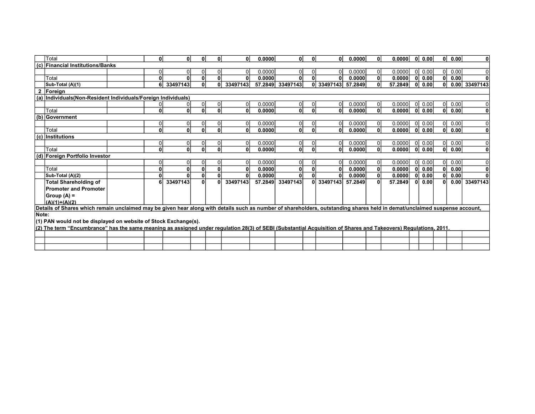|       | Total                                                                                                                                                                      | 0l             | O۱           | $\mathbf{0}$ | $\mathbf{0}$   | ΩI       | 0.0000  | $\mathbf{0}$ | 0            | 0l             | 0.0000  | $\mathbf{0}$   | 0.0000  | 0l           | 0.00 | ΟI           | 0.00 | $\mathbf{0}$  |
|-------|----------------------------------------------------------------------------------------------------------------------------------------------------------------------------|----------------|--------------|--------------|----------------|----------|---------|--------------|--------------|----------------|---------|----------------|---------|--------------|------|--------------|------|---------------|
|       | (c) Financial Institutions/Banks                                                                                                                                           |                |              |              |                |          |         |              |              |                |         |                |         |              |      |              |      |               |
|       |                                                                                                                                                                            | $\Omega$       |              | $\Omega$     | $\overline{0}$ | ٥I       | 0.0000  | $\Omega$     |              | 0              | 0.0000  | $\overline{0}$ | 0.0000  | -OI          | 0.00 | ΟI           | 0.00 | $\Omega$      |
|       | Total                                                                                                                                                                      | $\mathbf{0}$   |              | 0            | $\mathbf{0}$   | O۱       | 0.0000  | 0            |              | 0              | 0.0000  | 0              | 0.0000  | ŋ            | 0.00 | $\mathbf{0}$ | 0.00 | $\Omega$      |
|       | Sub-Total (A)(1)                                                                                                                                                           | 6              | 33497143     | $\mathbf{0}$ | 0              | 33497143 | 57.2849 | 33497143     |              | 0 33497143     | 57.2849 | 0              | 57.2849 | 0            | 0.00 | $\mathbf{0}$ |      | 0.00 33497143 |
| 2     | Foreign                                                                                                                                                                    |                |              |              |                |          |         |              |              |                |         |                |         |              |      |              |      |               |
|       | (a) Individuals (Non-Resident Individuals/Foreign Individuals)                                                                                                             |                |              |              |                |          |         |              |              |                |         |                |         |              |      |              |      |               |
|       |                                                                                                                                                                            | $\Omega$       |              |              | $\overline{0}$ | 01       | 0.0000  | $\Omega$     |              | $\overline{0}$ | 0.0000  | $\overline{0}$ | 0.0000  | ΩI           | 0.00 | $\Omega$     | 0.00 |               |
|       | Total                                                                                                                                                                      | 0              | $\mathbf{0}$ | $\mathbf{0}$ | $\mathbf{0}$   | 0l       | 0.0000  | $\mathbf{0}$ | $\mathbf{0}$ | $\mathbf{0}$   | 0.0000  | 0              | 0.0000  | $\Omega$     | 0.00 | 0            | 0.00 | 0             |
|       | (b) Government                                                                                                                                                             |                |              |              |                |          |         |              |              |                |         |                |         |              |      |              |      |               |
|       |                                                                                                                                                                            | $\Omega$       |              |              | 0              | Οl       | 0.0000  | $\Omega$     |              | 0              | 0.0000  | $\overline{0}$ | 0.0000  | $\Omega$     | 0.00 | $\Omega$     | 0.00 | 0             |
|       | Total                                                                                                                                                                      | 0              | $\mathbf{0}$ | $\mathbf{0}$ | $\mathbf{0}$   | 0l       | 0.0000  | $\mathbf{0}$ |              | 0              | 0.0000  | 0              | 0.0000  | $\mathbf{0}$ | 0.00 | 0            | 0.00 | $\mathbf{0}$  |
|       | $(c)$ Institutions                                                                                                                                                         |                |              |              |                |          |         |              |              |                |         |                |         |              |      |              |      |               |
|       |                                                                                                                                                                            | $\overline{0}$ | 0            | 0            | 0              | 0I       | 0.0000  | $\Omega$     |              | $\overline{0}$ | 0.0000  | $\overline{0}$ | 0.0000  | <sup>0</sup> | 0.00 | 0I           | 0.00 | O             |
|       | Total                                                                                                                                                                      | 0              | $\mathbf{0}$ | $\mathbf{0}$ | $\mathbf{0}$   | 0        | 0.0000  | $\mathbf{0}$ | 0            | 0              | 0.0000  | $\mathbf{0}$   | 0.0000  | 0l           | 0.00 | 0l           | 0.00 | 0             |
|       | (d) Foreign Portfolio Investor                                                                                                                                             |                |              |              |                |          |         |              |              |                |         |                |         |              |      |              |      |               |
|       |                                                                                                                                                                            | $\Omega$       | 0            | 0            | 0              | Οl       | 0.0000  | 0            |              | 0              | 0.0000  | $\overline{0}$ | 0.0000  | $\Omega$     | 0.00 | 01           | 0.00 | O             |
|       | Total                                                                                                                                                                      | $\mathbf{0}$   | $\Omega$     | $\mathbf{0}$ | $\mathbf{0}$   | 0        | 0.0000  | $\mathbf{0}$ |              | 0              | 0.0000  | $\mathbf{0}$   | 0.0000  | $\mathbf{0}$ | 0.00 | 0l           | 0.00 | $\mathbf 0$   |
|       | Sub-Total (A)(2)                                                                                                                                                           | $\mathbf{0}$   |              | $\mathbf{0}$ | 0              | O١       | 0.0000  | 0            |              | $\mathbf{0}$   | 0.0000  | $\mathbf{0}$   | 0.0000  | 0            | 0.00 |              | 0.00 |               |
|       | <b>Total Shareholding of</b>                                                                                                                                               | 6              | 33497143     | $\mathbf{0}$ | $\mathbf{0}$   | 33497143 | 57.2849 | 33497143     |              | 0 33497143     | 57.2849 | 0              | 57.2849 | 0            | 0.00 | O            | 0.00 | 33497143      |
|       | <b>Promoter and Promoter</b>                                                                                                                                               |                |              |              |                |          |         |              |              |                |         |                |         |              |      |              |      |               |
|       | $Group (A) =$                                                                                                                                                              |                |              |              |                |          |         |              |              |                |         |                |         |              |      |              |      |               |
|       | $(A)(1)+(A)(2)$                                                                                                                                                            |                |              |              |                |          |         |              |              |                |         |                |         |              |      |              |      |               |
|       | Details of Shares which remain unclaimed may be given hear along with details such as number of shareholders, outstanding shares held in demat/unclaimed suspense account, |                |              |              |                |          |         |              |              |                |         |                |         |              |      |              |      |               |
| Note: |                                                                                                                                                                            |                |              |              |                |          |         |              |              |                |         |                |         |              |      |              |      |               |
|       | (1) PAN would not be displayed on website of Stock Exchange(s).                                                                                                            |                |              |              |                |          |         |              |              |                |         |                |         |              |      |              |      |               |
|       | (2) The term "Encumbrance" has the same meaning as assigned under regulation 28(3) of SEBI (Substantial Acquisition of Shares and Takeovers) Regulations, 2011.            |                |              |              |                |          |         |              |              |                |         |                |         |              |      |              |      |               |
|       |                                                                                                                                                                            |                |              |              |                |          |         |              |              |                |         |                |         |              |      |              |      |               |
|       |                                                                                                                                                                            |                |              |              |                |          |         |              |              |                |         |                |         |              |      |              |      |               |
|       |                                                                                                                                                                            |                |              |              |                |          |         |              |              |                |         |                |         |              |      |              |      |               |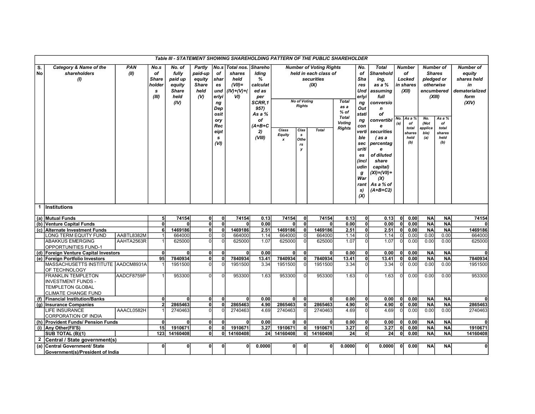|              |                                                                                                                 |                    |                                                               |                                                                      |                                                                             |                                                                             |                                                                    |                                                                                                        |                             |                                      | Table III - STATEMENT SHOWING SHAREHOLDING PATTERN OF THE PUBLIC SHAREHOLDER  |                                                          |                                                                                      |                                                                                                                           |            |                                                                     |                        |                                                                                                      |                                                                                    |
|--------------|-----------------------------------------------------------------------------------------------------------------|--------------------|---------------------------------------------------------------|----------------------------------------------------------------------|-----------------------------------------------------------------------------|-----------------------------------------------------------------------------|--------------------------------------------------------------------|--------------------------------------------------------------------------------------------------------|-----------------------------|--------------------------------------|-------------------------------------------------------------------------------|----------------------------------------------------------|--------------------------------------------------------------------------------------|---------------------------------------------------------------------------------------------------------------------------|------------|---------------------------------------------------------------------|------------------------|------------------------------------------------------------------------------------------------------|------------------------------------------------------------------------------------|
| S.<br>No     | Category & Name of the<br>shareholders<br>(1)                                                                   | <b>PAN</b><br>(II) | No.s<br>of<br><b>Share</b><br>holder<br>$\mathbf{s}$<br>(III) | No. of<br>fully<br>paid up<br>equity<br><b>Share</b><br>held<br>(IV) | <b>Partly</b><br>paid-up<br>equity<br><b>Share</b><br>held<br>$\mathcal{N}$ | No.s<br>оf<br>shar<br>es<br>und<br>erlyi<br>ng<br>Dep<br>osit<br>ory<br>Rec | Total nos.<br>shares<br>held<br>$(VII)$ =<br>$(IV)+(V)+(V)$<br>VI) | <b>Shareho</b><br>Iding<br>%<br>calculat<br>ed as<br>per<br>SCRR.1<br>957)<br>As a %<br>οf<br>$(A+B+C$ |                             | <b>No of Voting</b><br><b>Rights</b> | <b>Number of Voting Rights</b><br>held in each class of<br>securities<br>(IX) | <b>Total</b><br>as a<br>$%$ of<br>Total<br><b>Voting</b> | No.<br>οf<br>Sha<br>res<br>Und<br>erlyi<br>ng<br>Out<br>stati<br>ng<br>con           | <b>Total</b><br>Sharehold<br>ing,<br>as a %<br>assuming<br>full<br>conversio<br>$\mathbf n$<br>оf<br>convertibl<br>e      | No.<br>(a) | <b>Number</b><br>of<br>Locked<br>in shares<br>(XII)<br>As a %<br>of | No.<br>(Not            | <b>Number of</b><br><b>Shares</b><br>pledged or<br>otherwise<br>encumbered<br>(XIII)<br>As a %<br>of | <b>Number of</b><br>equity<br>shares held<br>in<br>dematerialized<br>form<br>(XIV) |
|              |                                                                                                                 |                    |                                                               |                                                                      |                                                                             | eipt<br>s<br>(VI)                                                           |                                                                    | 2)<br>(VIII)                                                                                           | Class<br><b>Equity</b><br>Y | Clas<br>s<br>Othe<br>rs<br>у         | <b>Total</b>                                                                  | <b>Rights</b>                                            | verti<br>ble<br>sec<br>uriti<br>es<br>(incl<br>udin<br>g<br>War<br>rant<br>s)<br>(X) | securities<br>(as a<br>percentag<br>e<br>of diluted<br>share<br>capital)<br>(XI)=(VII)+<br>(X)<br>As a % of<br>$(A+B+C2)$ |            | total<br>shares<br>held<br>(b)                                      | applica<br>ble)<br>(a) | total<br>shares<br>held<br>(b)                                                                       |                                                                                    |
| $\mathbf{1}$ | <b>Institutions</b>                                                                                             |                    |                                                               |                                                                      |                                                                             |                                                                             |                                                                    |                                                                                                        |                             |                                      |                                                                               |                                                          |                                                                                      |                                                                                                                           |            |                                                                     |                        |                                                                                                      |                                                                                    |
|              | (a) Mutual Funds                                                                                                |                    | 5 <sup>1</sup>                                                | 74154                                                                | $\mathbf{0}$                                                                | $\mathbf{0}$                                                                | 74154                                                              | 0.13                                                                                                   | 74154                       | $\mathbf{0}$                         | 74154                                                                         | 0.13                                                     | $\mathbf{0}$                                                                         | 0.13                                                                                                                      | 0          | 0.00                                                                | <b>NA</b>              | <b>NA</b>                                                                                            | 74154                                                                              |
| (b)          | <b>Venture Capital Funds</b>                                                                                    |                    | $\overline{0}$                                                | $\Omega$                                                             | $\mathbf{0}$                                                                | $\overline{0}$                                                              | $\mathbf{0}$                                                       | 0.00                                                                                                   | $\Omega$                    | $\mathbf{0}$                         |                                                                               | 0.00                                                     | $\pmb{0}$                                                                            | 0.00                                                                                                                      | 0          | 0.00                                                                | <b>NA</b>              | <b>NA</b>                                                                                            |                                                                                    |
|              | (c) Alternate Investment Funds                                                                                  |                    | 6                                                             | 1469186                                                              | $\mathbf{0}$                                                                | 0                                                                           | 1469186                                                            | 2.51                                                                                                   | 1469186                     | $\mathbf{0}$                         | 1469186                                                                       | 2.51                                                     | $\mathbf 0$                                                                          | 2.51                                                                                                                      | 0          | 0.00                                                                | <b>NA</b>              | <b>NA</b>                                                                                            | 1469186                                                                            |
|              | LONG TERM EQUITY FUND                                                                                           | AABTL8382M         | $\mathbf{1}$                                                  | 664000                                                               | $\overline{0}$                                                              | $\overline{0}$                                                              | 664000                                                             | 1.14                                                                                                   | 664000                      | $\overline{0}$                       | 664000                                                                        | 1.14                                                     | $\mathbf 0$                                                                          | 1.14                                                                                                                      | -ol        | 0.00                                                                | 0.00                   | 0.00                                                                                                 | 664000                                                                             |
|              | <b>ABAKKUS EMERGING</b><br>OPPORTUNITIES FUND-1                                                                 | AAHTA2563R         |                                                               | 625000                                                               | $\Omega$                                                                    | $\Omega$                                                                    | 625000                                                             | 1.07                                                                                                   | 625000                      | $\Omega$                             | 625000                                                                        | 1.07                                                     | $\Omega$                                                                             | 1.07                                                                                                                      | $\Omega$   | 0.00                                                                | 0.00                   | 0.00                                                                                                 | 625000                                                                             |
|              | (d) Foreign Venture Capital Investors                                                                           |                    | $\mathbf{0}$                                                  | $\Omega$                                                             | $\Omega$                                                                    | $\Omega$                                                                    | $\mathbf{0}$                                                       | 0.00                                                                                                   | $\Omega$                    | $\mathbf{0}$                         |                                                                               | 0.00                                                     | $\mathbf{0}$                                                                         | 0.00                                                                                                                      | 0          | 0.00                                                                | <b>NA</b>              | <b>NA</b>                                                                                            | 0                                                                                  |
|              | (e) Foreign Portfolio Investors                                                                                 |                    | 95                                                            | 7840934                                                              | $\mathbf{0}$                                                                | $\mathbf{0}$                                                                | 7840934                                                            | 13.41                                                                                                  | 7840934                     | $\mathbf{0}$                         | 7840934                                                                       | 13.41                                                    | $\mathbf{0}$                                                                         | 13.41                                                                                                                     | 0          | 0.00                                                                | <b>NA</b>              | <b>NA</b>                                                                                            | 7840934                                                                            |
|              | MASSACHUSETTS INSTITUTE AADCM8931A<br>OF TECHNOLOGY                                                             |                    |                                                               | 1951500                                                              | $\Omega$                                                                    | 0                                                                           | 1951500                                                            | 3.34                                                                                                   | 1951500                     | $\overline{0}$                       | 1951500                                                                       | 3.34                                                     | $\Omega$                                                                             | 3.34                                                                                                                      | $\Omega$   | 0.00                                                                | 0.00                   | 0.00                                                                                                 | 1951500                                                                            |
|              | <b>FRANKLIN TEMPLETON</b><br><b>INVESTMENT FUNDS -</b><br><b>TEMPLETON GLOBAL</b><br><b>CLIMATE CHANGE FUND</b> | AADCF8759P         |                                                               | 953300                                                               | ΩI                                                                          | $\Omega$                                                                    | 953300                                                             | 1.63                                                                                                   | 953300                      | $\Omega$                             | 953300                                                                        | 1.63                                                     |                                                                                      | 1.63 <sub>l</sub>                                                                                                         |            | 0.00                                                                | 0.00                   | 0.00                                                                                                 | 953300                                                                             |
| (f)          | <b>Financial Institution/Banks</b>                                                                              |                    | $\mathbf{0}$                                                  | $\Omega$                                                             | $\Omega$                                                                    | 0                                                                           | $\mathbf{0}$                                                       | 0.00                                                                                                   | $\Omega$                    | $\mathbf{0}$                         |                                                                               | 0.00                                                     | $\mathbf{0}$                                                                         | 0.00                                                                                                                      | 0          | 0.00                                                                | <b>NA</b>              | <b>NA</b>                                                                                            | <sub>0</sub>                                                                       |
|              | (g) Insurance Companies                                                                                         |                    | 2                                                             | 2865463                                                              | 0                                                                           | O                                                                           | 2865463                                                            | 4.90                                                                                                   | 2865463                     | $\mathbf{0}$                         | 2865463                                                                       | 4.90                                                     | $\mathbf 0$                                                                          | 4.90                                                                                                                      | - Ol       | 0.00                                                                | <b>NA</b>              | <b>NA</b>                                                                                            | 2865463                                                                            |
|              | <b>LIFE INSURANCE</b><br><b>CORPORATION OF INDIA</b>                                                            | AAACL0582H         |                                                               | 2740463                                                              | $\Omega$                                                                    | $\Omega$                                                                    | 2740463                                                            | 4.69                                                                                                   | 2740463                     | $\Omega$                             | 2740463                                                                       | 4.69                                                     | $\Omega$                                                                             | 4.69                                                                                                                      | ŋ          | 0.00                                                                | 0.00                   | 0.00                                                                                                 | 2740463                                                                            |
|              | (h) Provident Funds/ Pension Funds                                                                              |                    | $\mathbf{0}$                                                  | $\mathbf{0}$                                                         | 0                                                                           | 0                                                                           | ٥l                                                                 | 0.00                                                                                                   | $\mathbf{0}$                | $\mathbf{0}$                         | $\mathbf{0}$                                                                  | 0.00                                                     | $\pmb{0}$                                                                            | 0.00 <sub>l</sub>                                                                                                         | 0          | 0.00                                                                | <b>NA</b>              | <b>NA</b>                                                                                            | 0l                                                                                 |
|              | (i) Any Other (FII'S)                                                                                           |                    | 15                                                            | 1910671                                                              | $\mathbf{0}$                                                                | 0                                                                           | 1910671                                                            | 3.27                                                                                                   | 1910671                     | 0l                                   | 1910671                                                                       | 3.27                                                     | $\mathbf{0}$                                                                         | 3.27                                                                                                                      | Οl         | 0.00                                                                | <b>NA</b>              | <b>NA</b>                                                                                            | 1910671                                                                            |
|              | SUB TOTAL (B)(1)                                                                                                |                    | 123 <sup>1</sup>                                              | 14160408                                                             | 0                                                                           | οI                                                                          | 14160408                                                           | 24 <sup>1</sup>                                                                                        | 14160408                    | 0l                                   | 14160408                                                                      | 24                                                       | $\mathbf{0}$                                                                         | 24 <sup>1</sup>                                                                                                           | ΩI         | 0.00                                                                | <b>NA</b>              | <b>NA</b>                                                                                            | 14160408                                                                           |
| $\mathbf{2}$ | Central / State government(s)                                                                                   |                    |                                                               |                                                                      |                                                                             |                                                                             |                                                                    |                                                                                                        |                             |                                      |                                                                               |                                                          |                                                                                      |                                                                                                                           |            |                                                                     |                        |                                                                                                      |                                                                                    |
| (a)          | Central Government/ State                                                                                       |                    | 0                                                             | 0                                                                    | $\mathbf{0}$                                                                | 0                                                                           | 0                                                                  | 0.0000                                                                                                 | $\mathbf{0}$                | $\mathbf{0}$                         | 0                                                                             | 0.0000                                                   | 0                                                                                    | 0.00001                                                                                                                   | 0l         | 0.00                                                                | <b>NA</b>              | <b>NA</b>                                                                                            | ٥l                                                                                 |
|              | Government(s)/President of India                                                                                |                    |                                                               |                                                                      |                                                                             |                                                                             |                                                                    |                                                                                                        |                             |                                      |                                                                               |                                                          |                                                                                      |                                                                                                                           |            |                                                                     |                        |                                                                                                      |                                                                                    |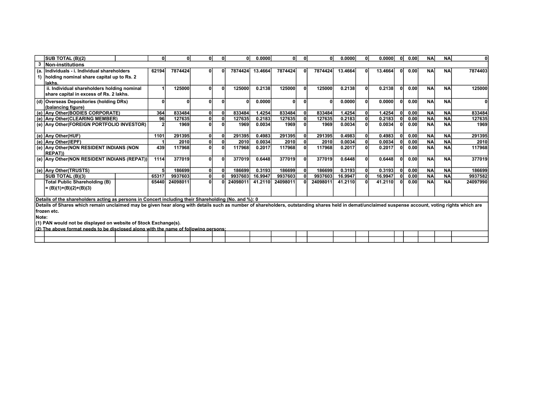|       | <b>SUB TOTAL (B)(2)</b>                                                                                                                                                                            | 01    | $\mathbf{0}$ | ΩI | 0 | ΩI       | 0.0000  | 0        | 0l           | $\Omega$ | 0.0000  | ΟI           | 0.0000  | 0l | 0.00 | <b>NA</b> | <b>NA</b> | ΩI          |
|-------|----------------------------------------------------------------------------------------------------------------------------------------------------------------------------------------------------|-------|--------------|----|---|----------|---------|----------|--------------|----------|---------|--------------|---------|----|------|-----------|-----------|-------------|
|       | <b>Non-institutions</b>                                                                                                                                                                            |       |              |    |   |          |         |          |              |          |         |              |         |    |      |           |           |             |
| íа.   | Individuals - i. Individual shareholders                                                                                                                                                           | 62194 | 7874424      |    |   | 7874424  | 13.4664 | 7874424  |              | 7874424  | 13.4664 | $\mathbf{0}$ | 13.4664 | ΟI | 0.00 | <b>NA</b> | <b>NA</b> | 7874403     |
|       | holding nominal share capital up to Rs. 2                                                                                                                                                          |       |              |    |   |          |         |          |              |          |         |              |         |    |      |           |           |             |
|       | llakhs                                                                                                                                                                                             |       |              |    |   |          |         |          |              |          |         |              |         |    |      |           |           |             |
|       | ii. Individual shareholders holding nominal                                                                                                                                                        |       | 125000       |    |   | 125000   | 0.2138  | 125000   | $\mathbf{0}$ | 125000   | 0.2138  | 0            | 0.2138  | ΩI | 0.00 | <b>NA</b> | <b>NA</b> | 125000      |
|       | share capital in excess of Rs. 2 lakhs.                                                                                                                                                            |       |              |    |   |          |         |          |              |          |         |              |         |    |      |           |           |             |
|       | (d) Overseas Depositories (holding DRs)                                                                                                                                                            |       |              | n  |   |          | 0.0000  | $\Omega$ | $\mathbf{0}$ |          | 0.0000  | $\Omega$     | 0.00001 | ΩI | 0.00 | <b>NA</b> | <b>NA</b> |             |
|       | (balancing figure)                                                                                                                                                                                 |       |              |    |   |          |         |          |              |          |         |              |         |    |      |           |           |             |
|       | (e) Any Other (BODIES CORPORATE)                                                                                                                                                                   | 364   | 833484       | 0  |   | 833484   | 1.4254  | 833484   | $\mathbf 0$  | 833484   | 1.4254  | $\mathbf{0}$ | 1.4254  | 0l | 0.00 | <b>NA</b> | <b>NA</b> | 833484      |
|       | (e) Any Other (CLEARING MEMBER)                                                                                                                                                                    | 96    | 127635       | 0  |   | 127635   | 0.2183  | 127635   |              | 127635   | 0.2183  |              | 0.2183  |    | 0.00 | <b>NA</b> | <b>NA</b> | 127635      |
|       | (e) Any Other (FOREIGN PORTFOLIO INVESTOR)                                                                                                                                                         |       | 1969         | ΩI |   | 1969     | 0.0034  | 1969     |              | 1969     | 0.0034  | $\mathbf{0}$ | 0.0034  |    | 0.00 | <b>NA</b> | <b>NA</b> | 1969        |
|       |                                                                                                                                                                                                    |       |              |    |   |          |         |          |              |          |         |              |         |    |      |           |           |             |
|       | (e) Any Other(HUF)                                                                                                                                                                                 | 1101  | 291395       | 0  |   | 291395   | 0.4983  | 291395   | $\mathbf{0}$ | 291395   | 0.4983  | $\mathbf{0}$ | 0.4983  | 0  | 0.00 | <b>NA</b> | <b>NA</b> | 291395      |
|       | (e) Any Other(IEPF)                                                                                                                                                                                |       | 2010         | 0  |   | 2010     | 0.0034  | 2010     |              | 2010     | 0.0034  |              | 0.0034  |    | 0.00 | <b>NA</b> | <b>NA</b> | <b>2010</b> |
|       | (e) Any Other (NON RESIDENT INDIANS (NON                                                                                                                                                           | 439   | 117968       | ΩI |   | 117968   | 0.2017  | 117968   |              | 117968   | 0.2017  | $\mathbf{0}$ | 0.2017  |    | 0.00 | <b>NA</b> | <b>NA</b> | 117968      |
|       | <b>REPAT))</b>                                                                                                                                                                                     |       |              |    |   |          |         |          |              |          |         |              |         |    |      |           |           |             |
|       | (e) Any Other (NON RESIDENT INDIANS (REPAT))                                                                                                                                                       | 1114  | 377019       | 0  |   | 377019   | 0.6448  | 377019   |              | 377019   | 0.6448  | $\mathbf{0}$ | 0.6448  | ΩI | 0.00 | <b>NA</b> | <b>NA</b> | 377019      |
|       |                                                                                                                                                                                                    |       |              |    |   |          |         |          |              |          |         |              |         |    |      |           |           |             |
|       | (e) Any Other(TRUSTS)                                                                                                                                                                              |       | 186699       |    |   | 186699   | 0.3193  | 186699   |              | 186699   | 0.3193  | $\mathbf{0}$ | 0.3193  | 0l | 0.00 | <b>NA</b> | <b>NA</b> | 186699      |
|       | SUB TOTAL (B)(3)                                                                                                                                                                                   | 65317 | 9937603      |    |   | 9937603  | 16.9947 | 9937603  |              | 9937603  | 16.9947 |              | 16.9947 |    | 0.00 | <b>NA</b> | <b>NA</b> | 9937582     |
|       | <b>Total Public Shareholding (B)</b>                                                                                                                                                               | 65440 | 24098011     | 0  |   | 24098011 | 41.2110 | 24098011 |              | 24098011 | 41.2110 | $\mathbf{0}$ | 41.2110 | 0l | 0.00 | <b>NA</b> | <b>NA</b> | 24097990    |
|       | = (B)(1)+(B)(2)+(B)(3)                                                                                                                                                                             |       |              |    |   |          |         |          |              |          |         |              |         |    |      |           |           |             |
|       | Details of the shareholders acting as persons in Concert including their Shareholding (No. and %): 0                                                                                               |       |              |    |   |          |         |          |              |          |         |              |         |    |      |           |           |             |
|       | Details of Shares which remain unclaimed may be given hear along with details such as number of shareholders, outstanding shares held in demat/unclaimed suspense account, voting rights which are |       |              |    |   |          |         |          |              |          |         |              |         |    |      |           |           |             |
|       | frozen etc.                                                                                                                                                                                        |       |              |    |   |          |         |          |              |          |         |              |         |    |      |           |           |             |
| Note: |                                                                                                                                                                                                    |       |              |    |   |          |         |          |              |          |         |              |         |    |      |           |           |             |
|       | (1) PAN would not be displayed on website of Stock Exchange(s).                                                                                                                                    |       |              |    |   |          |         |          |              |          |         |              |         |    |      |           |           |             |
|       | (9) The chairs formed needs to be disclosed clang with the neme of following neverse.                                                                                                              |       |              |    |   |          |         |          |              |          |         |              |         |    |      |           |           |             |

| $\cdots$ | ິ″ <sup>າ</sup> ) The .<br>eds to be<br>: format needs<br>∵ah∩ve \ | disclosed | - - --<br>l along with the name of | í following persons:_ |  |  |  |  |  |  |  |
|----------|--------------------------------------------------------------------|-----------|------------------------------------|-----------------------|--|--|--|--|--|--|--|
|          |                                                                    |           |                                    |                       |  |  |  |  |  |  |  |
|          |                                                                    |           |                                    |                       |  |  |  |  |  |  |  |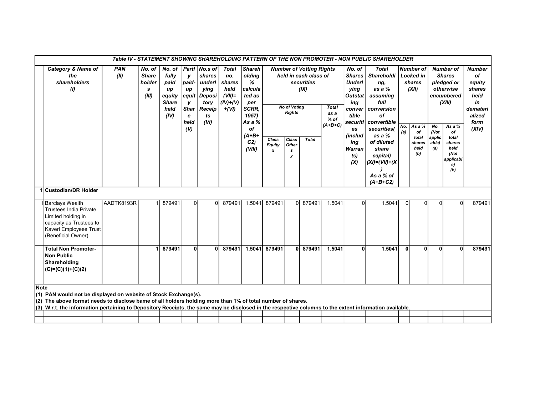|      |                                                                                                                                                                                                                                                                                                                                         |                    |                                                |                                                                         |                                                                             |                                                                                     |                                                                            |                                                                                            |                      |                                      |                                                                                |                                             |                                                                                                                | Table IV - STATEMENT SHOWING SHAREHOLDING PATTERN OF THE NON PROMOTER - NON PUBLIC SHAREHOLDER                      |              |                                                                     |                                |                                                                                                |                                                                                              |
|------|-----------------------------------------------------------------------------------------------------------------------------------------------------------------------------------------------------------------------------------------------------------------------------------------------------------------------------------------|--------------------|------------------------------------------------|-------------------------------------------------------------------------|-----------------------------------------------------------------------------|-------------------------------------------------------------------------------------|----------------------------------------------------------------------------|--------------------------------------------------------------------------------------------|----------------------|--------------------------------------|--------------------------------------------------------------------------------|---------------------------------------------|----------------------------------------------------------------------------------------------------------------|---------------------------------------------------------------------------------------------------------------------|--------------|---------------------------------------------------------------------|--------------------------------|------------------------------------------------------------------------------------------------|----------------------------------------------------------------------------------------------|
|      | <b>Category &amp; Name of</b><br>the<br>shareholders<br>$\mathcal{L}$                                                                                                                                                                                                                                                                   | <b>PAN</b><br>(II) | No. of<br><b>Share</b><br>holder<br>s<br>(III) | No. of<br>fully<br>paid<br>up<br>equity<br><b>Share</b><br>held<br>(IV) | у<br>paid-<br>up<br>equit<br>у<br><b>Shar</b><br>e<br>held<br>$\mathcal{U}$ | Partl No.s of<br>shares<br>underl<br>ving<br>Deposi<br>tory<br>Receip<br>ts<br>(VI) | <b>Total</b><br>no.<br>shares<br>held<br>$(VII)$ =<br>$(IV)+(V)$<br>$+(V)$ | <b>Shareh</b><br>olding<br>%<br>calcula<br>ted as<br>per<br>SCRR,<br>1957)<br>As a %<br>of |                      | <b>No of Voting</b><br><b>Rights</b> | <b>Number of Votting Rights</b><br>held in each class of<br>securities<br>(IX) | <b>Total</b><br>as a<br>$%$ of<br>$(A+B+C)$ | No. of<br><b>Shares</b><br><b>Underl</b><br>ving<br><b>Outstat</b><br>ing<br>conver<br>tible<br>securiti<br>es | <b>Total</b><br>Shareholdi<br>ng,<br>as a $%$<br>assuming<br>full<br>conversion<br>οf<br>convertible<br>securities( | No.          | <b>Number of</b><br><b>Locked in</b><br>shares<br>(XII)<br>As a $%$ | No.                            | <b>Number of</b><br><b>Shares</b><br>pledged or<br>otherwise<br>encumbered<br>(XIII)<br>As a % | <b>Number</b><br>of<br>equity<br>shares<br>held<br>in<br>demateri<br>alized<br>form<br>(XIV) |
|      |                                                                                                                                                                                                                                                                                                                                         |                    |                                                |                                                                         |                                                                             |                                                                                     |                                                                            | $(A+B+$<br>C <sub>2</sub><br>(VIII)                                                        | Class<br>Equity<br>x | Class<br>Other<br>s<br>v             | <b>Total</b>                                                                   |                                             | (includ<br>ing<br>Warran<br>ts)<br>(X)                                                                         | as a %<br>of diluted<br>share<br>capital)<br>$(XI) = (VII) + (X$<br>As a % of<br>$(A+B+C2)$                         | (a)          | of<br>total<br>shares<br>held<br>(b)                                | (Not<br>applic<br>able)<br>(a) | of<br>total<br>shares<br>held<br>(Not<br>applicabl<br>e)<br>(b)                                |                                                                                              |
|      | 1 Custodian/DR Holder                                                                                                                                                                                                                                                                                                                   |                    |                                                |                                                                         |                                                                             |                                                                                     |                                                                            |                                                                                            |                      |                                      |                                                                                |                                             |                                                                                                                |                                                                                                                     |              |                                                                     |                                |                                                                                                |                                                                                              |
|      | Barclays Wealth<br><b>Trustees India Private</b><br>Limited holding in<br>capacity as Trustees to<br>Kaveri Employees Trust<br>(Beneficial Owner)                                                                                                                                                                                       | AADTK8193R         |                                                | 879491                                                                  | $\Omega$                                                                    | $\Omega$                                                                            | 879491                                                                     | 1.5041                                                                                     | 879491               |                                      | 0 879491                                                                       | 1.5041                                      | $\Omega$                                                                                                       | 1.5041                                                                                                              | $\Omega$     |                                                                     | $\Omega$                       | 0                                                                                              | 879491                                                                                       |
|      | <b>Total Non Promoter-</b><br><b>Non Public</b><br>Shareholding<br>$(C)=(C)(1)+(C)(2)$                                                                                                                                                                                                                                                  |                    |                                                | 879491                                                                  | 0                                                                           | $\mathbf{0}$                                                                        | 879491                                                                     | 1.5041                                                                                     | 879491               |                                      | 0 879491                                                                       | 1.5041                                      | 0l                                                                                                             | 1.5041                                                                                                              | $\mathbf{0}$ | $\mathbf{0}$                                                        | $\mathbf{0}$                   | $\Omega$                                                                                       | 879491                                                                                       |
| Note | (1) PAN would not be displayed on website of Stock Exchange(s).<br>(2) The above format needs to disclose bame of all holders holding more than 1% of total number of shares.<br>(3) W.r.t. the information pertaining to Depository Receipts, the same may be disclosed in the respective columns to the extent information available. |                    |                                                |                                                                         |                                                                             |                                                                                     |                                                                            |                                                                                            |                      |                                      |                                                                                |                                             |                                                                                                                |                                                                                                                     |              |                                                                     |                                |                                                                                                |                                                                                              |
|      |                                                                                                                                                                                                                                                                                                                                         |                    |                                                |                                                                         |                                                                             |                                                                                     |                                                                            |                                                                                            |                      |                                      |                                                                                |                                             |                                                                                                                |                                                                                                                     |              |                                                                     |                                |                                                                                                |                                                                                              |
|      |                                                                                                                                                                                                                                                                                                                                         |                    |                                                |                                                                         |                                                                             |                                                                                     |                                                                            |                                                                                            |                      |                                      |                                                                                |                                             |                                                                                                                |                                                                                                                     |              |                                                                     |                                |                                                                                                |                                                                                              |